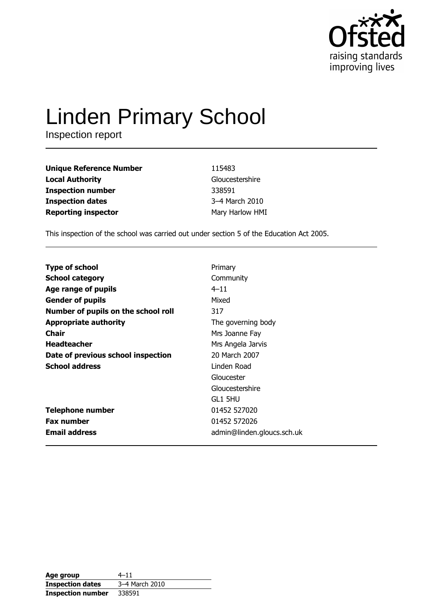

# **Linden Primary School**

Inspection report

| <b>Unique Reference Number</b> | 115483          |
|--------------------------------|-----------------|
| <b>Local Authority</b>         | Gloucestershire |
| <b>Inspection number</b>       | 338591          |
| <b>Inspection dates</b>        | 3-4 March 2010  |
| <b>Reporting inspector</b>     | Mary Harlow HMI |

This inspection of the school was carried out under section 5 of the Education Act 2005.

| <b>Type of school</b>               | Primary                    |
|-------------------------------------|----------------------------|
| <b>School category</b>              | Community                  |
| Age range of pupils                 | $4 - 11$                   |
| <b>Gender of pupils</b>             | Mixed                      |
| Number of pupils on the school roll | 317                        |
| <b>Appropriate authority</b>        | The governing body         |
| Chair                               | Mrs Joanne Fay             |
| <b>Headteacher</b>                  | Mrs Angela Jarvis          |
| Date of previous school inspection  | 20 March 2007              |
| <b>School address</b>               | Linden Road                |
|                                     | Gloucester                 |
|                                     | Gloucestershire            |
|                                     | GL1 5HU                    |
| <b>Telephone number</b>             | 01452 527020               |
| <b>Fax number</b>                   | 01452 572026               |
| <b>Email address</b>                | admin@linden.gloucs.sch.uk |

| Age group                | $4 - 11$       |
|--------------------------|----------------|
| <b>Inspection dates</b>  | 3-4 March 2010 |
| <b>Inspection number</b> | 338591         |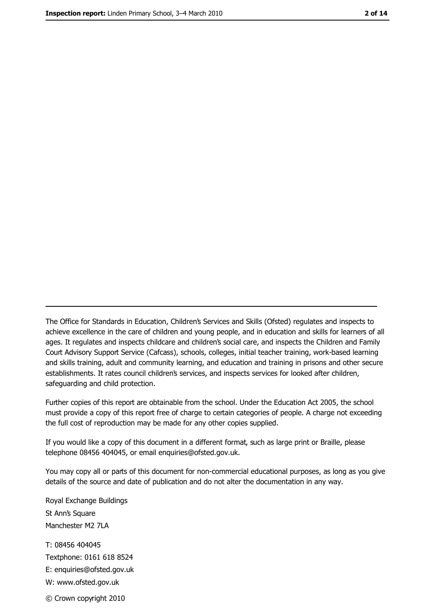The Office for Standards in Education, Children's Services and Skills (Ofsted) regulates and inspects to achieve excellence in the care of children and young people, and in education and skills for learners of all ages. It regulates and inspects childcare and children's social care, and inspects the Children and Family Court Advisory Support Service (Cafcass), schools, colleges, initial teacher training, work-based learning and skills training, adult and community learning, and education and training in prisons and other secure establishments. It rates council children's services, and inspects services for looked after children, safequarding and child protection.

Further copies of this report are obtainable from the school. Under the Education Act 2005, the school must provide a copy of this report free of charge to certain categories of people. A charge not exceeding the full cost of reproduction may be made for any other copies supplied.

If you would like a copy of this document in a different format, such as large print or Braille, please telephone 08456 404045, or email enquiries@ofsted.gov.uk.

You may copy all or parts of this document for non-commercial educational purposes, as long as you give details of the source and date of publication and do not alter the documentation in any way.

Royal Exchange Buildings St Ann's Square Manchester M2 7LA T: 08456 404045 Textphone: 0161 618 8524 E: enquiries@ofsted.gov.uk W: www.ofsted.gov.uk © Crown copyright 2010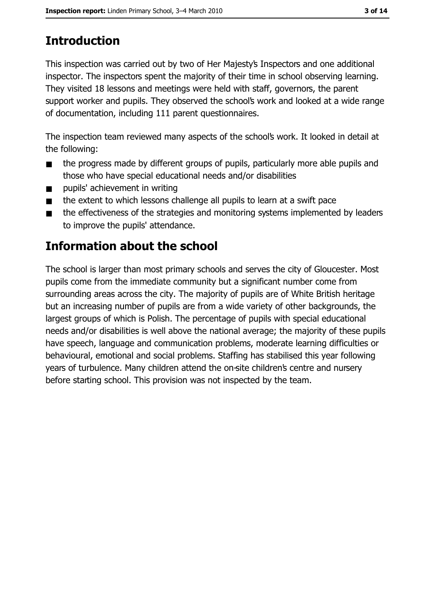# **Introduction**

This inspection was carried out by two of Her Majesty's Inspectors and one additional inspector. The inspectors spent the majority of their time in school observing learning. They visited 18 lessons and meetings were held with staff, governors, the parent support worker and pupils. They observed the school's work and looked at a wide range of documentation, including 111 parent questionnaires.

The inspection team reviewed many aspects of the school's work. It looked in detail at the following:

- the progress made by different groups of pupils, particularly more able pupils and  $\blacksquare$ those who have special educational needs and/or disabilities
- pupils' achievement in writing  $\blacksquare$
- the extent to which lessons challenge all pupils to learn at a swift pace  $\blacksquare$
- the effectiveness of the strategies and monitoring systems implemented by leaders  $\blacksquare$ to improve the pupils' attendance.

# Information about the school

The school is larger than most primary schools and serves the city of Gloucester. Most pupils come from the immediate community but a significant number come from surrounding areas across the city. The majority of pupils are of White British heritage but an increasing number of pupils are from a wide variety of other backgrounds, the largest groups of which is Polish. The percentage of pupils with special educational needs and/or disabilities is well above the national average; the majority of these pupils have speech, language and communication problems, moderate learning difficulties or behavioural, emotional and social problems. Staffing has stabilised this year following years of turbulence. Many children attend the on-site children's centre and nursery before starting school. This provision was not inspected by the team.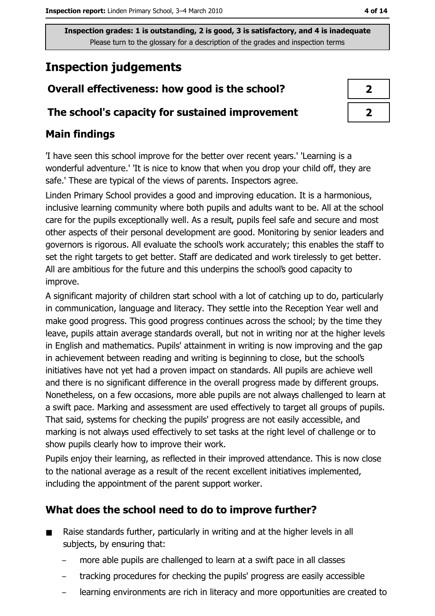# **Inspection judgements**

# Overall effectiveness: how good is the school?

## The school's capacity for sustained improvement

# **Main findings**

'I have seen this school improve for the better over recent years.' 'Learning is a wonderful adventure.' 'It is nice to know that when you drop your child off, they are safe.' These are typical of the views of parents. Inspectors agree.

Linden Primary School provides a good and improving education. It is a harmonious, inclusive learning community where both pupils and adults want to be. All at the school care for the pupils exceptionally well. As a result, pupils feel safe and secure and most other aspects of their personal development are good. Monitoring by senior leaders and governors is rigorous. All evaluate the school's work accurately; this enables the staff to set the right targets to get better. Staff are dedicated and work tirelessly to get better. All are ambitious for the future and this underpins the school's good capacity to improve.

A significant majority of children start school with a lot of catching up to do, particularly in communication, language and literacy. They settle into the Reception Year well and make good progress. This good progress continues across the school; by the time they leave, pupils attain average standards overall, but not in writing nor at the higher levels in English and mathematics. Pupils' attainment in writing is now improving and the gap in achievement between reading and writing is beginning to close, but the school's initiatives have not yet had a proven impact on standards. All pupils are achieve well and there is no significant difference in the overall progress made by different groups. Nonetheless, on a few occasions, more able pupils are not always challenged to learn at a swift pace. Marking and assessment are used effectively to target all groups of pupils. That said, systems for checking the pupils' progress are not easily accessible, and marking is not always used effectively to set tasks at the right level of challenge or to show pupils clearly how to improve their work.

Pupils enjoy their learning, as reflected in their improved attendance. This is now close to the national average as a result of the recent excellent initiatives implemented, including the appointment of the parent support worker.

# What does the school need to do to improve further?

- Raise standards further, particularly in writing and at the higher levels in all  $\blacksquare$ subjects, by ensuring that:
	- more able pupils are challenged to learn at a swift pace in all classes
	- tracking procedures for checking the pupils' progress are easily accessible
	- learning environments are rich in literacy and more opportunities are created to

| 2 |  |
|---|--|
| 7 |  |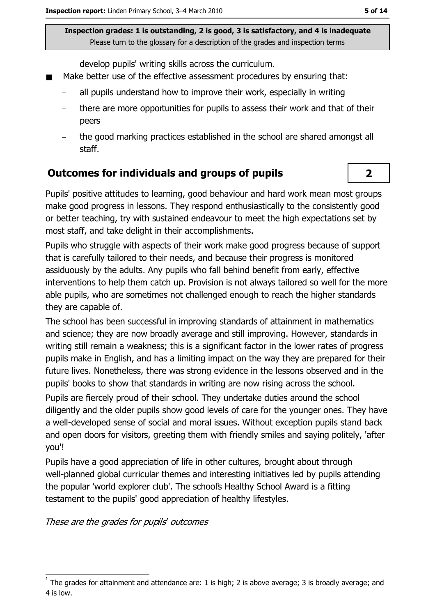develop pupils' writing skills across the curriculum.

- Make better use of the effective assessment procedures by ensuring that:
	- all pupils understand how to improve their work, especially in writing
	- there are more opportunities for pupils to assess their work and that of their peers
	- the good marking practices established in the school are shared amongst all staff.

## Outcomes for individuals and groups of pupils

Pupils' positive attitudes to learning, good behaviour and hard work mean most groups make good progress in lessons. They respond enthusiastically to the consistently good or better teaching, try with sustained endeavour to meet the high expectations set by most staff, and take delight in their accomplishments.

Pupils who struggle with aspects of their work make good progress because of support that is carefully tailored to their needs, and because their progress is monitored assiduously by the adults. Any pupils who fall behind benefit from early, effective interventions to help them catch up. Provision is not always tailored so well for the more able pupils, who are sometimes not challenged enough to reach the higher standards they are capable of.

The school has been successful in improving standards of attainment in mathematics and science; they are now broadly average and still improving. However, standards in writing still remain a weakness; this is a significant factor in the lower rates of progress pupils make in English, and has a limiting impact on the way they are prepared for their future lives. Nonetheless, there was strong evidence in the lessons observed and in the pupils' books to show that standards in writing are now rising across the school.

Pupils are fiercely proud of their school. They undertake duties around the school diligently and the older pupils show good levels of care for the younger ones. They have a well-developed sense of social and moral issues. Without exception pupils stand back and open doors for visitors, greeting them with friendly smiles and saying politely, 'after you'!

Pupils have a good appreciation of life in other cultures, brought about through well-planned global curricular themes and interesting initiatives led by pupils attending the popular 'world explorer club'. The school's Healthy School Award is a fitting testament to the pupils' good appreciation of healthy lifestyles.

These are the grades for pupils' outcomes

 $\overline{2}$ 

The grades for attainment and attendance are: 1 is high; 2 is above average; 3 is broadly average; and 4 is low.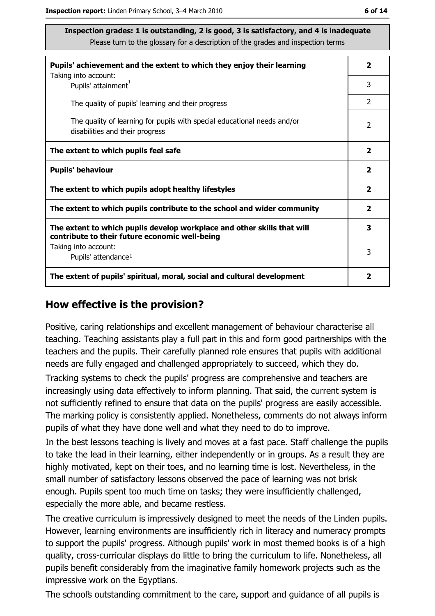| ×<br>۰.<br>۰. |  |
|---------------|--|
|---------------|--|

| Pupils' achievement and the extent to which they enjoy their learning                                                     |                         |
|---------------------------------------------------------------------------------------------------------------------------|-------------------------|
| Taking into account:<br>Pupils' attainment <sup>1</sup>                                                                   | 3                       |
| The quality of pupils' learning and their progress                                                                        | $\overline{2}$          |
| The quality of learning for pupils with special educational needs and/or<br>disabilities and their progress               | 2                       |
| The extent to which pupils feel safe                                                                                      | $\overline{\mathbf{2}}$ |
| <b>Pupils' behaviour</b>                                                                                                  | $\overline{\mathbf{2}}$ |
| The extent to which pupils adopt healthy lifestyles                                                                       | 2                       |
| The extent to which pupils contribute to the school and wider community                                                   |                         |
| The extent to which pupils develop workplace and other skills that will<br>contribute to their future economic well-being | 3                       |
| Taking into account:                                                                                                      | 3                       |
| Pupils' attendance <sup>1</sup>                                                                                           |                         |
| The extent of pupils' spiritual, moral, social and cultural development                                                   |                         |

#### How effective is the provision?

Positive, caring relationships and excellent management of behaviour characterise all teaching. Teaching assistants play a full part in this and form good partnerships with the teachers and the pupils. Their carefully planned role ensures that pupils with additional needs are fully engaged and challenged appropriately to succeed, which they do.

Tracking systems to check the pupils' progress are comprehensive and teachers are increasingly using data effectively to inform planning. That said, the current system is not sufficiently refined to ensure that data on the pupils' progress are easily accessible. The marking policy is consistently applied. Nonetheless, comments do not always inform pupils of what they have done well and what they need to do to improve.

In the best lessons teaching is lively and moves at a fast pace. Staff challenge the pupils to take the lead in their learning, either independently or in groups. As a result they are highly motivated, kept on their toes, and no learning time is lost. Nevertheless, in the small number of satisfactory lessons observed the pace of learning was not brisk enough. Pupils spent too much time on tasks; they were insufficiently challenged, especially the more able, and became restless.

The creative curriculum is impressively designed to meet the needs of the Linden pupils. However, learning environments are insufficiently rich in literacy and numeracy prompts to support the pupils' progress. Although pupils' work in most themed books is of a high quality, cross-curricular displays do little to bring the curriculum to life. Nonetheless, all pupils benefit considerably from the imaginative family homework projects such as the impressive work on the Egyptians.

The school's outstanding commitment to the care, support and guidance of all pupils is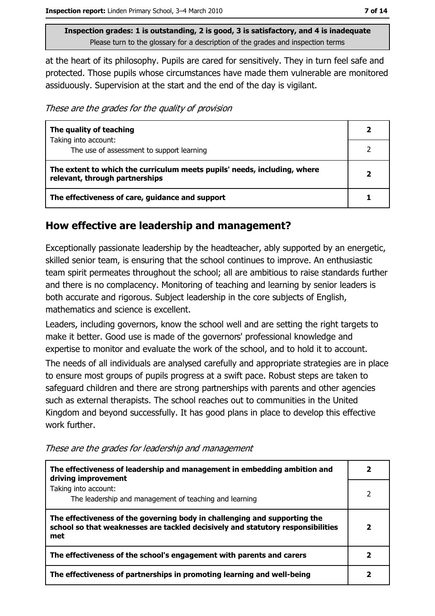at the heart of its philosophy. Pupils are cared for sensitively. They in turn feel safe and protected. Those pupils whose circumstances have made them vulnerable are monitored assiduously. Supervision at the start and the end of the day is vigilant.

These are the grades for the quality of provision

| The quality of teaching                                                                                    |  |
|------------------------------------------------------------------------------------------------------------|--|
| Taking into account:<br>The use of assessment to support learning                                          |  |
| The extent to which the curriculum meets pupils' needs, including, where<br>relevant, through partnerships |  |
| The effectiveness of care, guidance and support                                                            |  |

#### How effective are leadership and management?

Exceptionally passionate leadership by the headteacher, ably supported by an energetic, skilled senior team, is ensuring that the school continues to improve. An enthusiastic team spirit permeates throughout the school; all are ambitious to raise standards further and there is no complacency. Monitoring of teaching and learning by senior leaders is both accurate and rigorous. Subject leadership in the core subjects of English, mathematics and science is excellent.

Leaders, including governors, know the school well and are setting the right targets to make it better. Good use is made of the governors' professional knowledge and expertise to monitor and evaluate the work of the school, and to hold it to account.

The needs of all individuals are analysed carefully and appropriate strategies are in place to ensure most groups of pupils progress at a swift pace. Robust steps are taken to safeguard children and there are strong partnerships with parents and other agencies such as external therapists. The school reaches out to communities in the United Kingdom and beyond successfully. It has good plans in place to develop this effective work further.

These are the grades for leadership and management

| The effectiveness of leadership and management in embedding ambition and<br>driving improvement                                                                     |  |
|---------------------------------------------------------------------------------------------------------------------------------------------------------------------|--|
| Taking into account:<br>The leadership and management of teaching and learning                                                                                      |  |
| The effectiveness of the governing body in challenging and supporting the<br>school so that weaknesses are tackled decisively and statutory responsibilities<br>met |  |
| The effectiveness of the school's engagement with parents and carers                                                                                                |  |
| The effectiveness of partnerships in promoting learning and well-being                                                                                              |  |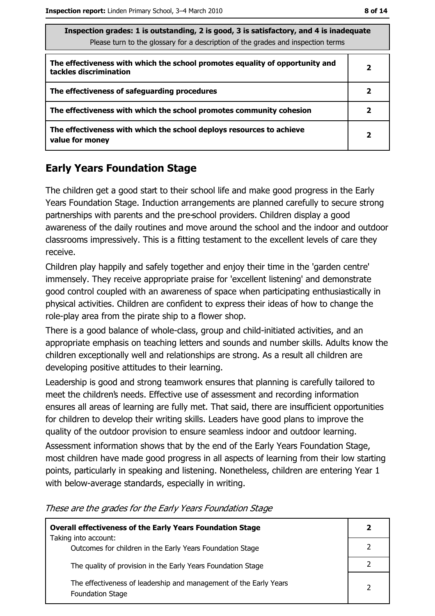| Inspection grades: 1 is outstanding, 2 is good, 3 is satisfactory, and 4 is inadequate<br>Please turn to the glossary for a description of the grades and inspection terms |                |
|----------------------------------------------------------------------------------------------------------------------------------------------------------------------------|----------------|
| The effectiveness with which the school promotes equality of opportunity and<br>tackles discrimination                                                                     | $\mathbf{2}$   |
| The effectiveness of safeguarding procedures                                                                                                                               | 2              |
| The effectiveness with which the school promotes community cohesion                                                                                                        | 2              |
| The effectiveness with which the school deploys resources to achieve<br>value for money                                                                                    | $\overline{2}$ |

# **Early Years Foundation Stage**

The children get a good start to their school life and make good progress in the Early Years Foundation Stage. Induction arrangements are planned carefully to secure strong partnerships with parents and the pre-school providers. Children display a good awareness of the daily routines and move around the school and the indoor and outdoor classrooms impressively. This is a fitting testament to the excellent levels of care they receive.

Children play happily and safely together and enjoy their time in the 'garden centre' immensely. They receive appropriate praise for 'excellent listening' and demonstrate good control coupled with an awareness of space when participating enthusiastically in physical activities. Children are confident to express their ideas of how to change the role-play area from the pirate ship to a flower shop.

There is a good balance of whole-class, group and child-initiated activities, and an appropriate emphasis on teaching letters and sounds and number skills. Adults know the children exceptionally well and relationships are strong. As a result all children are developing positive attitudes to their learning.

Leadership is good and strong teamwork ensures that planning is carefully tailored to meet the children's needs. Effective use of assessment and recording information ensures all areas of learning are fully met. That said, there are insufficient opportunities for children to develop their writing skills. Leaders have good plans to improve the quality of the outdoor provision to ensure seamless indoor and outdoor learning.

Assessment information shows that by the end of the Early Years Foundation Stage, most children have made good progress in all aspects of learning from their low starting points, particularly in speaking and listening. Nonetheless, children are entering Year 1 with below-average standards, especially in writing.

| <b>Overall effectiveness of the Early Years Foundation Stage</b>                             | 2 |
|----------------------------------------------------------------------------------------------|---|
| Taking into account:<br>Outcomes for children in the Early Years Foundation Stage            |   |
| The quality of provision in the Early Years Foundation Stage                                 |   |
| The effectiveness of leadership and management of the Early Years<br><b>Foundation Stage</b> |   |

These are the grades for the Early Years Foundation Stage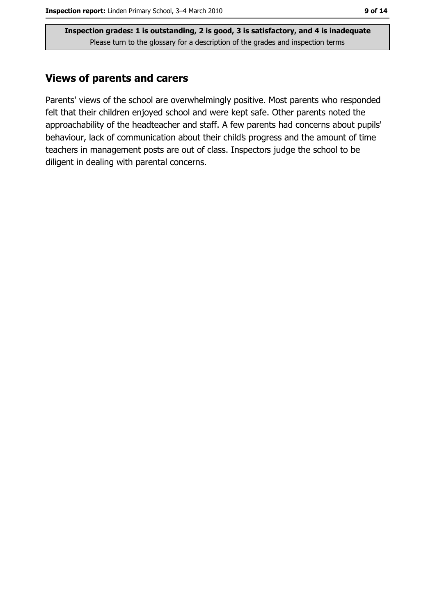## **Views of parents and carers**

Parents' views of the school are overwhelmingly positive. Most parents who responded felt that their children enjoyed school and were kept safe. Other parents noted the approachability of the headteacher and staff. A few parents had concerns about pupils' behaviour, lack of communication about their child's progress and the amount of time teachers in management posts are out of class. Inspectors judge the school to be diligent in dealing with parental concerns.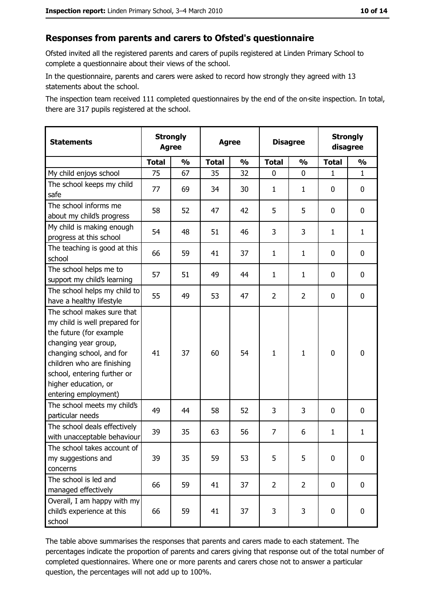#### Responses from parents and carers to Ofsted's questionnaire

Ofsted invited all the registered parents and carers of pupils registered at Linden Primary School to complete a questionnaire about their views of the school.

In the questionnaire, parents and carers were asked to record how strongly they agreed with 13 statements about the school.

The inspection team received 111 completed questionnaires by the end of the on-site inspection. In total, there are 317 pupils registered at the school.

| <b>Statements</b>                                                                                                                                                                                                                                       |              | <b>Strongly</b><br><b>Agree</b> |              | <b>Agree</b>  |                | <b>Disagree</b> |              | <b>Strongly</b><br>disagree |
|---------------------------------------------------------------------------------------------------------------------------------------------------------------------------------------------------------------------------------------------------------|--------------|---------------------------------|--------------|---------------|----------------|-----------------|--------------|-----------------------------|
|                                                                                                                                                                                                                                                         | <b>Total</b> | $\frac{1}{2}$                   | <b>Total</b> | $\frac{0}{0}$ | <b>Total</b>   | $\frac{0}{0}$   | <b>Total</b> | $\frac{1}{2}$               |
| My child enjoys school                                                                                                                                                                                                                                  | 75           | 67                              | 35           | 32            | 0              | 0               | $\mathbf{1}$ | $\mathbf{1}$                |
| The school keeps my child<br>safe                                                                                                                                                                                                                       | 77           | 69                              | 34           | 30            | $\mathbf{1}$   | 1               | 0            | 0                           |
| The school informs me<br>about my child's progress                                                                                                                                                                                                      | 58           | 52                              | 47           | 42            | 5              | 5               | $\mathbf{0}$ | 0                           |
| My child is making enough<br>progress at this school                                                                                                                                                                                                    | 54           | 48                              | 51           | 46            | 3              | 3               | $\mathbf{1}$ | $\mathbf{1}$                |
| The teaching is good at this<br>school                                                                                                                                                                                                                  | 66           | 59                              | 41           | 37            | $\mathbf{1}$   | $\mathbf{1}$    | 0            | 0                           |
| The school helps me to<br>support my child's learning                                                                                                                                                                                                   | 57           | 51                              | 49           | 44            | $\mathbf{1}$   | $\mathbf{1}$    | 0            | 0                           |
| The school helps my child to<br>have a healthy lifestyle                                                                                                                                                                                                | 55           | 49                              | 53           | 47            | $\overline{2}$ | $\overline{2}$  | 0            | 0                           |
| The school makes sure that<br>my child is well prepared for<br>the future (for example<br>changing year group,<br>changing school, and for<br>children who are finishing<br>school, entering further or<br>higher education, or<br>entering employment) | 41           | 37                              | 60           | 54            | $\mathbf{1}$   | $\mathbf{1}$    | $\mathbf 0$  | 0                           |
| The school meets my child's<br>particular needs                                                                                                                                                                                                         | 49           | 44                              | 58           | 52            | 3              | 3               | 0            | 0                           |
| The school deals effectively<br>with unacceptable behaviour                                                                                                                                                                                             | 39           | 35                              | 63           | 56            | $\overline{7}$ | 6               | 1            | $\mathbf{1}$                |
| The school takes account of<br>my suggestions and<br>concerns                                                                                                                                                                                           | 39           | 35                              | 59           | 53            | 5              | 5               | 0            | 0                           |
| The school is led and<br>managed effectively                                                                                                                                                                                                            | 66           | 59                              | 41           | 37            | $\overline{2}$ | $\overline{2}$  | 0            | $\mathbf 0$                 |
| Overall, I am happy with my<br>child's experience at this<br>school                                                                                                                                                                                     | 66           | 59                              | 41           | 37            | 3              | 3               | $\mathbf 0$  | 0                           |

The table above summarises the responses that parents and carers made to each statement. The percentages indicate the proportion of parents and carers giving that response out of the total number of completed questionnaires. Where one or more parents and carers chose not to answer a particular question, the percentages will not add up to 100%.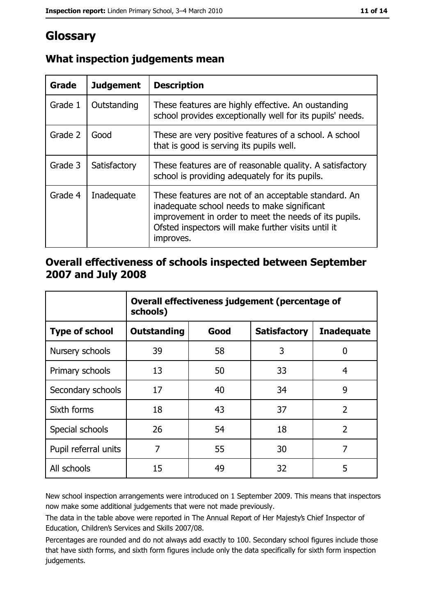# Glossary

| Grade   | <b>Judgement</b> | <b>Description</b>                                                                                                                                                                                                               |
|---------|------------------|----------------------------------------------------------------------------------------------------------------------------------------------------------------------------------------------------------------------------------|
| Grade 1 | Outstanding      | These features are highly effective. An oustanding<br>school provides exceptionally well for its pupils' needs.                                                                                                                  |
| Grade 2 | Good             | These are very positive features of a school. A school<br>that is good is serving its pupils well.                                                                                                                               |
| Grade 3 | Satisfactory     | These features are of reasonable quality. A satisfactory<br>school is providing adequately for its pupils.                                                                                                                       |
| Grade 4 | Inadequate       | These features are not of an acceptable standard. An<br>inadequate school needs to make significant<br>improvement in order to meet the needs of its pupils.<br>Ofsted inspectors will make further visits until it<br>improves. |

# What inspection judgements mean

## Overall effectiveness of schools inspected between September 2007 and July 2008

|                       | Overall effectiveness judgement (percentage of<br>schools) |      |                     |                   |
|-----------------------|------------------------------------------------------------|------|---------------------|-------------------|
| <b>Type of school</b> | Outstanding                                                | Good | <b>Satisfactory</b> | <b>Inadequate</b> |
| Nursery schools       | 39                                                         | 58   | 3                   | 0                 |
| Primary schools       | 13                                                         | 50   | 33                  | 4                 |
| Secondary schools     | 17                                                         | 40   | 34                  | 9                 |
| Sixth forms           | 18                                                         | 43   | 37                  | $\overline{2}$    |
| Special schools       | 26                                                         | 54   | 18                  | $\overline{2}$    |
| Pupil referral units  | 7                                                          | 55   | 30                  | 7                 |
| All schools           | 15                                                         | 49   | 32                  | 5                 |

New school inspection arrangements were introduced on 1 September 2009. This means that inspectors now make some additional judgements that were not made previously.

The data in the table above were reported in The Annual Report of Her Majesty's Chief Inspector of Education, Children's Services and Skills 2007/08.

Percentages are rounded and do not always add exactly to 100. Secondary school figures include those that have sixth forms, and sixth form figures include only the data specifically for sixth form inspection judgements.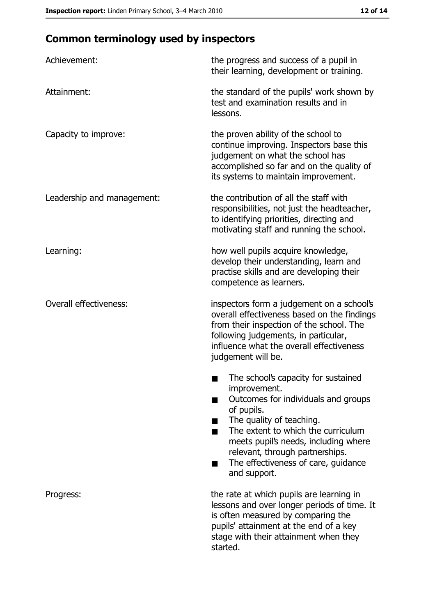# **Common terminology used by inspectors**

| Achievement:                  | the progress and success of a pupil in<br>their learning, development or training.                                                                                                                                                                                                                           |  |  |
|-------------------------------|--------------------------------------------------------------------------------------------------------------------------------------------------------------------------------------------------------------------------------------------------------------------------------------------------------------|--|--|
| Attainment:                   | the standard of the pupils' work shown by<br>test and examination results and in<br>lessons.                                                                                                                                                                                                                 |  |  |
| Capacity to improve:          | the proven ability of the school to<br>continue improving. Inspectors base this<br>judgement on what the school has<br>accomplished so far and on the quality of<br>its systems to maintain improvement.                                                                                                     |  |  |
| Leadership and management:    | the contribution of all the staff with<br>responsibilities, not just the headteacher,<br>to identifying priorities, directing and<br>motivating staff and running the school.                                                                                                                                |  |  |
| Learning:                     | how well pupils acquire knowledge,<br>develop their understanding, learn and<br>practise skills and are developing their<br>competence as learners.                                                                                                                                                          |  |  |
| <b>Overall effectiveness:</b> | inspectors form a judgement on a school's<br>overall effectiveness based on the findings<br>from their inspection of the school. The<br>following judgements, in particular,<br>influence what the overall effectiveness<br>judgement will be.                                                               |  |  |
|                               | The school's capacity for sustained<br>improvement.<br>Outcomes for individuals and groups<br>of pupils.<br>The quality of teaching.<br>The extent to which the curriculum<br>meets pupil's needs, including where<br>relevant, through partnerships.<br>The effectiveness of care, guidance<br>and support. |  |  |
| Progress:                     | the rate at which pupils are learning in<br>lessons and over longer periods of time. It<br>is often measured by comparing the<br>pupils' attainment at the end of a key<br>stage with their attainment when they<br>started.                                                                                 |  |  |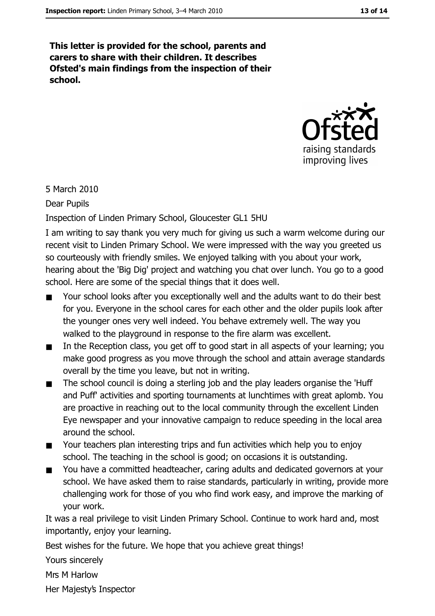This letter is provided for the school, parents and carers to share with their children. It describes Ofsted's main findings from the inspection of their school.



5 March 2010

#### Dear Pupils

#### Inspection of Linden Primary School, Gloucester GL1 5HU

I am writing to say thank you very much for giving us such a warm welcome during our recent visit to Linden Primary School. We were impressed with the way you greeted us so courteously with friendly smiles. We enjoyed talking with you about your work, hearing about the 'Big Dig' project and watching you chat over lunch. You go to a good school. Here are some of the special things that it does well.

- Your school looks after you exceptionally well and the adults want to do their best for you. Everyone in the school cares for each other and the older pupils look after the younger ones very well indeed. You behave extremely well. The way you walked to the playground in response to the fire alarm was excellent.
- In the Reception class, you get off to good start in all aspects of your learning; you  $\blacksquare$ make good progress as you move through the school and attain average standards overall by the time you leave, but not in writing.
- The school council is doing a sterling job and the play leaders organise the 'Huff'  $\blacksquare$ and Puff' activities and sporting tournaments at lunchtimes with great aplomb. You are proactive in reaching out to the local community through the excellent Linden Eye newspaper and your innovative campaign to reduce speeding in the local area around the school.
- Your teachers plan interesting trips and fun activities which help you to enjoy  $\blacksquare$ school. The teaching in the school is good; on occasions it is outstanding.
- You have a committed headteacher, caring adults and dedicated governors at your  $\blacksquare$ school. We have asked them to raise standards, particularly in writing, provide more challenging work for those of you who find work easy, and improve the marking of your work.

It was a real privilege to visit Linden Primary School. Continue to work hard and, most importantly, enjoy your learning.

Best wishes for the future. We hope that you achieve great things!

Yours sincerely

Mrs M Harlow

Her Majesty's Inspector